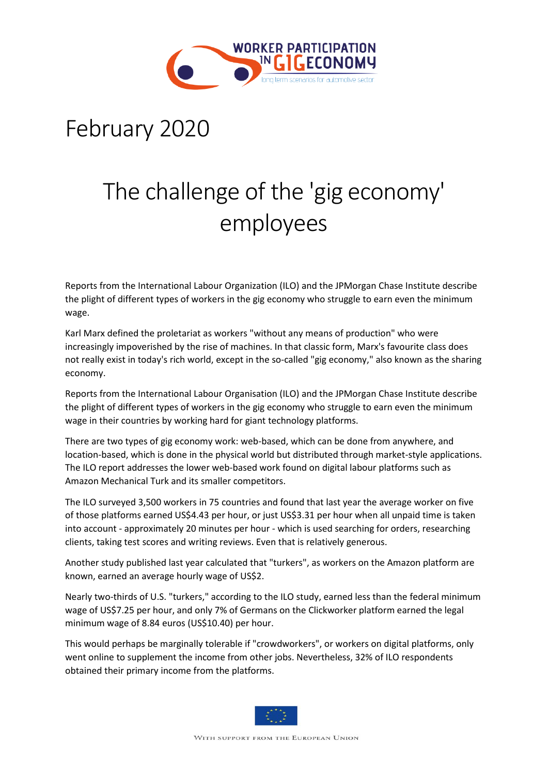

## February 2020

## The challenge of the 'gig economy' employees

Reports from the International Labour Organization (ILO) and the JPMorgan Chase Institute describe the plight of different types of workers in the gig economy who struggle to earn even the minimum wage.

Karl Marx defined the proletariat as workers "without any means of production" who were increasingly impoverished by the rise of machines. In that classic form, Marx's favourite class does not really exist in today's rich world, except in the so-called "gig economy," also known as the sharing economy.

Reports from the International Labour Organisation (ILO) and the JPMorgan Chase Institute describe the plight of different types of workers in the gig economy who struggle to earn even the minimum wage in their countries by working hard for giant technology platforms.

There are two types of gig economy work: web-based, which can be done from anywhere, and location-based, which is done in the physical world but distributed through market-style applications. The ILO report addresses the lower web-based work found on digital labour platforms such as Amazon Mechanical Turk and its smaller competitors.

The ILO surveyed 3,500 workers in 75 countries and found that last year the average worker on five of those platforms earned US\$4.43 per hour, or just US\$3.31 per hour when all unpaid time is taken into account - approximately 20 minutes per hour - which is used searching for orders, researching clients, taking test scores and writing reviews. Even that is relatively generous.

Another study published last year calculated that "turkers", as workers on the Amazon platform are known, earned an average hourly wage of US\$2.

Nearly two-thirds of U.S. "turkers," according to the ILO study, earned less than the federal minimum wage of US\$7.25 per hour, and only 7% of Germans on the Clickworker platform earned the legal minimum wage of 8.84 euros (US\$10.40) per hour.

This would perhaps be marginally tolerable if "crowdworkers", or workers on digital platforms, only went online to supplement the income from other jobs. Nevertheless, 32% of ILO respondents obtained their primary income from the platforms.

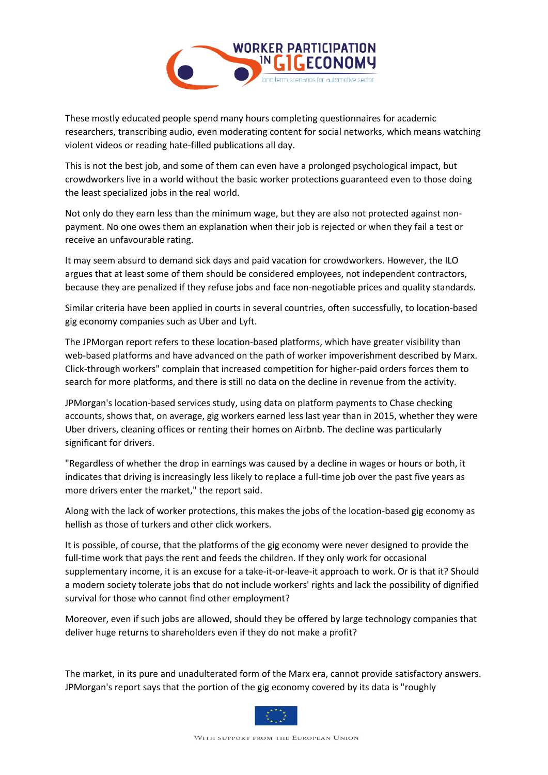

These mostly educated people spend many hours completing questionnaires for academic researchers, transcribing audio, even moderating content for social networks, which means watching violent videos or reading hate-filled publications all day.

This is not the best job, and some of them can even have a prolonged psychological impact, but crowdworkers live in a world without the basic worker protections guaranteed even to those doing the least specialized jobs in the real world.

Not only do they earn less than the minimum wage, but they are also not protected against nonpayment. No one owes them an explanation when their job is rejected or when they fail a test or receive an unfavourable rating.

It may seem absurd to demand sick days and paid vacation for crowdworkers. However, the ILO argues that at least some of them should be considered employees, not independent contractors, because they are penalized if they refuse jobs and face non-negotiable prices and quality standards.

Similar criteria have been applied in courts in several countries, often successfully, to location-based gig economy companies such as Uber and Lyft.

The JPMorgan report refers to these location-based platforms, which have greater visibility than web-based platforms and have advanced on the path of worker impoverishment described by Marx. Click-through workers" complain that increased competition for higher-paid orders forces them to search for more platforms, and there is still no data on the decline in revenue from the activity.

JPMorgan's location-based services study, using data on platform payments to Chase checking accounts, shows that, on average, gig workers earned less last year than in 2015, whether they were Uber drivers, cleaning offices or renting their homes on Airbnb. The decline was particularly significant for drivers.

"Regardless of whether the drop in earnings was caused by a decline in wages or hours or both, it indicates that driving is increasingly less likely to replace a full-time job over the past five years as more drivers enter the market," the report said.

Along with the lack of worker protections, this makes the jobs of the location-based gig economy as hellish as those of turkers and other click workers.

It is possible, of course, that the platforms of the gig economy were never designed to provide the full-time work that pays the rent and feeds the children. If they only work for occasional supplementary income, it is an excuse for a take-it-or-leave-it approach to work. Or is that it? Should a modern society tolerate jobs that do not include workers' rights and lack the possibility of dignified survival for those who cannot find other employment?

Moreover, even if such jobs are allowed, should they be offered by large technology companies that deliver huge returns to shareholders even if they do not make a profit?

The market, in its pure and unadulterated form of the Marx era, cannot provide satisfactory answers. JPMorgan's report says that the portion of the gig economy covered by its data is "roughly